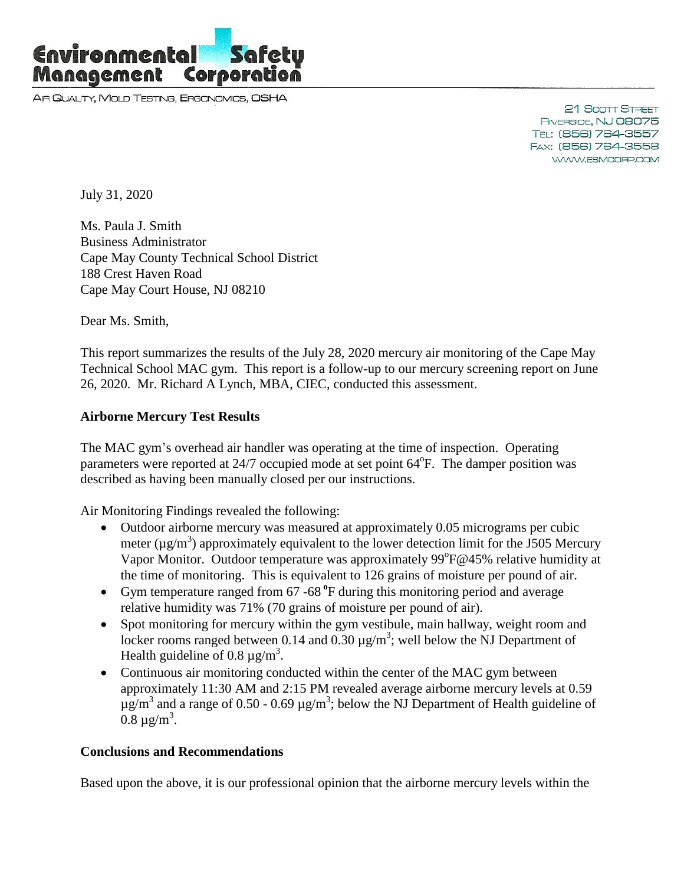

AIR QUALITY, MOLD TESTING, ERGONOMICS, OSHA

21 Scott Street RIVERSIDE, NJ 08075 TEL: (856) 764-3557 FAX: (856) 764-3558 WWW.ESMCORP.COM

July 31, 2020

Ms. Paula J. Smith Business Administrator Cape May County Technical School District 188 Crest Haven Road Cape May Court House, NJ 08210

Dear Ms. Smith,

This report summarizes the results of the July 28, 2020 mercury air monitoring of the Cape May Technical School MAC gym. This report is a follow-up to our mercury screening report on June 26, 2020. Mr. Richard A Lynch, MBA, CIEC, conducted this assessment.

## **Airborne Mercury Test Results**

The MAC gym's overhead air handler was operating at the time of inspection. Operating parameters were reported at 24/7 occupied mode at set point 64<sup>°</sup>F. The damper position was described as having been manually closed per our instructions.

Air Monitoring Findings revealed the following:

- Outdoor airborne mercury was measured at approximately 0.05 micrograms per cubic meter ( $\mu$ g/m<sup>3</sup>) approximately equivalent to the lower detection limit for the J505 Mercury Vapor Monitor. Outdoor temperature was approximately 99°F@45% relative humidity at the time of monitoring. This is equivalent to 126 grains of moisture per pound of air.
- Gym temperature ranged from 67 -68 **<sup>o</sup>** F during this monitoring period and average relative humidity was 71% (70 grains of moisture per pound of air).
- Spot monitoring for mercury within the gym vestibule, main hallway, weight room and locker rooms ranged between 0.14 and 0.30  $\mu$ g/m<sup>3</sup>; well below the NJ Department of Health guideline of 0.8  $\mu$ g/m<sup>3</sup>.
- Continuous air monitoring conducted within the center of the MAC gym between approximately 11:30 AM and 2:15 PM revealed average airborne mercury levels at 0.59  $\mu$ g/m<sup>3</sup> and a range of 0.50 - 0.69  $\mu$ g/m<sup>3</sup>; below the NJ Department of Health guideline of  $0.8 \mu g/m^3$ .

## **Conclusions and Recommendations**

Based upon the above, it is our professional opinion that the airborne mercury levels within the